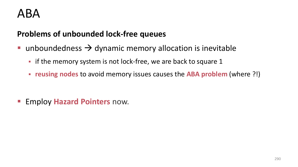#### ABA

#### **Problems of unbounded lock-free queues**

- unboundedness  $\rightarrow$  dynamic memory allocation is inevitable
	- **Fightifier 1** if the memory system is not lock-free, we are back to square 1
	- **reusing nodes** to avoid memory issues causes the **ABA problem** (where ?!)

**Employ Hazard Pointers now.**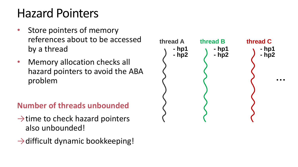### Hazard Pointers

- Store pointers of memory references about to be accessed by a thread
- Memory allocation checks all hazard pointers to avoid the ABA problem

#### **Number of threads unbounded**

- $\rightarrow$ time to check hazard pointers also unbounded!
- $\rightarrow$  difficult dynamic bookkeeping!

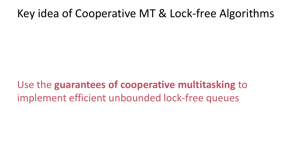#### Key idea of Cooperative MT & Lock-free Algorithms

Use the **guarantees of cooperative multitasking** to implement efficient unbounded lock-free queues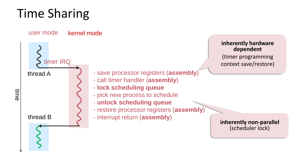# Time Sharing

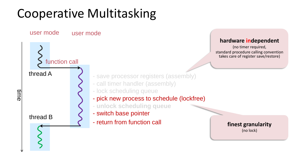## Cooperative Multitasking

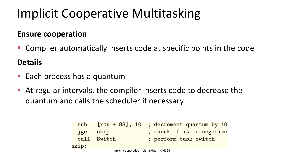## Implicit Cooperative Multitasking

#### **Ensure cooperation**

■ Compiler automatically inserts code at specific points in the code

#### **Details**

- Each process has a quantum
- At regular intervals, the compiler inserts code to decrease the quantum and calls the scheduler if necessary

```
[rcx + 88], 10 ; decrement quantum by 10
 sub
      skip (check if it is negative)
 jge
     Switch
                    ; perform task switch
 call
skip:
```
implicit cooperative multitasking – AMD64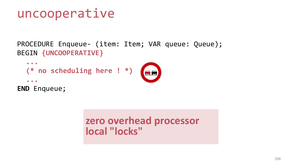#### uncooperative

PROCEDURE Enqueue- (item: Item; VAR queue: Queue); BEGIN **{UNCOOPERATIVE}**

```
...
  (* no scheduling here ! *)
  ...
END Enqueue;
```
**zero overhead processor local "locks"**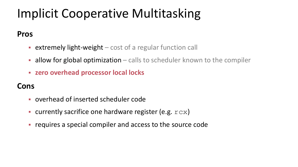## Implicit Cooperative Multitasking

#### **Pros**

- **Extremely light-weight** cost of a regular function call
- $\blacksquare$  allow for global optimization calls to scheduler known to the compiler
- **zero overhead processor local locks**

#### **Cons**

- overhead of inserted scheduler code
- currently sacrifice one hardware register (e.g.  $rcx$ )
- **Fig. 2** requires a special compiler and access to the source code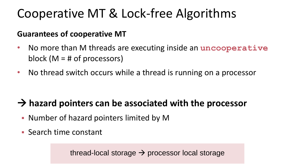### Cooperative MT & Lock-free Algorithms

#### **Guarantees of cooperative MT**

- No more than M threads are executing inside an **uncooperative** block ( $M = #$  of processors)
- No thread switch occurs while a thread is running on a processor

#### **hazard pointers can be associated with the processor**

- Number of hazard pointers limited by M
- Search time constant

thread-local storage  $\rightarrow$  processor local storage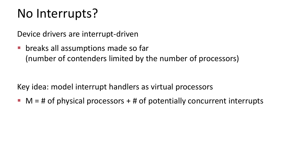### No Interrupts?

Device drivers are interrupt-driven

**• breaks all assumptions made so far** (number of contenders limited by the number of processors)

Key idea: model interrupt handlers as virtual processors

 $M = #$  of physical processors  $+ #$  of potentially concurrent interrupts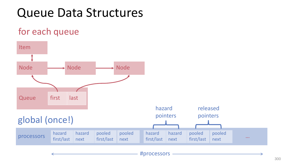### Queue Data Structures

#### for each queue

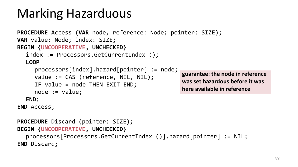## Marking Hazarduous

```
PROCEDURE Access (VAR node, reference: Node; pointer: SIZE);
VAR value: Node; index: SIZE;
BEGIN {UNCOOPERATIVE, UNCHECKED}
  index := Processors.GetCurrentIndex ();
  LOOP
     processors[index].hazard[pointer] := node;
     value := CAS (reference, NIL, NIL);
     IF value = node THEN EXIT END;
     node := value;
  END;
END Access;
PROCEDURE Discard (pointer: SIZE);
BEGIN {UNCOOPERATIVE, UNCHECKED} 
                                                   guarantee: the node in reference 
                                                   was set hazardous before it was 
                                                   here available in reference
```
processors[Processors.GetCurrentIndex ()].hazard[pointer] := NIL; **END** Discard;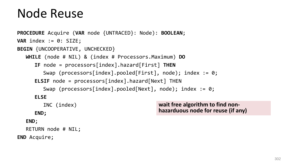#### Node Reuse

```
PROCEDURE Acquire (VAR node {UNTRACED}: Node): BOOLEAN;
VAR index := 0: SIZE;
BEGIN {UNCOOPERATIVE, UNCHECKED}
  WHILE (node # NIL) & (index # Processors.Maximum) DO
      IF node = processors[index].hazard[First] THEN
        Swap (processors[index].pooled[First], node); index := 0;
     ELSIF node = processors[index].hazard[Next] THEN 
        Swap (processors[index].pooled[Next], node); index := 0;
     ELSE
        INC (index) 
     END;
  END;
                                                wait free algorithm to find non-
                                                hazarduous node for reuse (if any)
```
RETURN node # NIL;

**END** Acquire;

302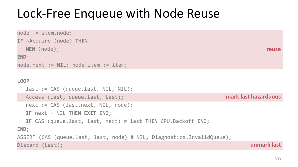### Lock-Free Enqueue with Node Reuse

```
reuse
                                                                      mark last hazarduous
                                                                               unmark last
node := item.node;
IF ~Acquire (node) THEN 
  NEW (node); 
END;
node.next := NIL; node.item := item;
LOOP
  last := CAS (queue.last, NIL, NIL);
  Access (last, queue.last, Last);
  next := CAS (last.next, NIL, node);
  IF next = NIL THEN EXIT END;
  IF CAS (queue.last, last, next) # last THEN CPU.Backoff END;
END;
ASSERT (CAS (queue.last, last, node) # NIL, Diagnostics.InvalidQueue);
Discard (Last);
```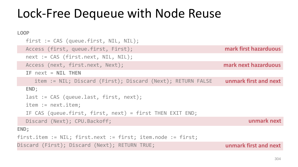### Lock-Free Dequeue with Node Reuse

```
mark first hazarduous
                                                                     unmark first and next
                                                                      unmark first and next
                                                                      mark next hazarduous
                                                                              unmark next
LOOP
  first := CAS (queue.first, NIL, NIL);
  Access (first, queue.first, First);
  next := CAS (first.next, NIL, NIL);
  Access (next, first.next, Next);
  IF next = NIL THEN 
     item := NIL; Discard (First); Discard (Next); RETURN FALSE 
  END;
  last := CAS (queue.last, first, next);
  item := next.item;
  IF CAS (queue.first, first, next) = first THEN EXIT END;
  Discard (Next); CPU.Backoff;
END;
first.item := NIL; first.next := first; item.node := first;
Discard (First); Discard (Next); RETURN TRUE;
```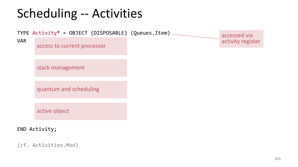## Scheduling -- Activities



(cf. Activities.Mod)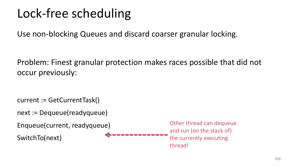## Lock-free scheduling

Use non-blocking Queues and discard coarser granular locking.

Problem: Finest granular protection makes races possible that did not occur previously:

```
current := GetCurrentTask()
```

```
next := Dequeue(readyqueue)
```

```
Enqueue(current, readyqueue)
```
SwitchTo(next)

Other thread can dequeue and run (on the stack of) the currently executing thread!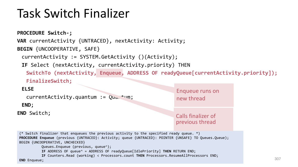### Task Switch Finalizer

```
PROCEDURE Switch-;
VAR currentActivity {UNTRACED}, nextActivity: Activity;
BEGIN {UNCOOPERATIVE, SAFE}
 currentActivity := SYSTEM.GetActivity ()(Activity);
 IF Select (nextActivity, currentActivity.priority) THEN
   SwitchTo (nextActivity, Enqueue, ADDRESS OF readyQueue[currentActivity.priority]);
   FinalizeSwitch;
 ELSE
   currentActivity.quantum := Qua. + um;END;
END Switch;
                                                                                                        307
                                                                Enqueue runs on 
                                                                new thread
                                                                Calls finalizer of 
                                                                previous thread
 (* Switch finalizer that enqueues the previous activity to the specified ready queue. *)
PROCEDURE Enqueue (previous {UNTRACED}: Activity; queue {UNTRACED}: POINTER {UNSAFE} TO Queues.Queue);
BEGIN {UNCOOPERATIVE, UNCHECKED}
         Queues.Enqueue (previous, queue^);
         IF ADDRESS OF queue^ = ADDRESS OF readyQueue[IdlePriority] THEN RETURN END;
         IF Counters.Read (working) < Processors.count THEN Processors.ResumeAllProcessors END;
END Enqueue;
```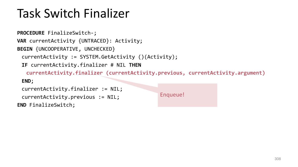## Task Switch Finalizer

```
PROCEDURE FinalizeSwitch-;
VAR currentActivity {UNTRACED}: Activity;
BEGIN {UNCOOPERATIVE, UNCHECKED}
 currentActivity := SYSTEM.GetActivity ()(Activity);
 IF currentActivity.finalizer # NIL THEN
   currentActivity.finalizer (currentActivity.previous, currentActivity.argument) 
 END;
 currentActivity.finalizer := NIL; 
 currentActivity.previous := NIL;
END FinalizeSwitch;
                                               Enqueue!
```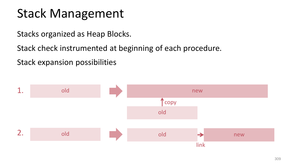### Stack Management

Stacks organized as Heap Blocks.

Stack check instrumented at beginning of each procedure.

Stack expansion possibilities

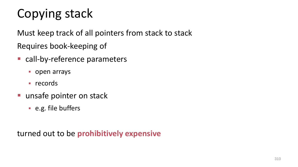# Copying stack

Must keep track of all pointers from stack to stack Requires book-keeping of

- call-by-reference parameters
	- **open arrays**
	- $records$
- **unsafe pointer on stack** 
	- e.g. file buffers

turned out to be **prohibitively expensive**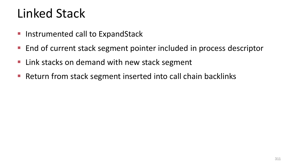### Linked Stack

- **Instrumented call to ExpandStack**
- End of current stack segment pointer included in process descriptor
- Link stacks on demand with new stack segment
- Return from stack segment inserted into call chain backlinks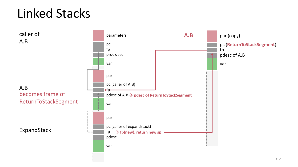## Linked Stacks

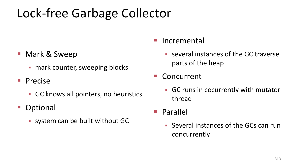### Lock-free Garbage Collector

- Mark & Sweep
	- **F** mark counter, sweeping blocks
- **Precise** 
	- GC knows all pointers, no heuristics
- **Optional** 
	- system can be built without GC

#### Incremental

- several instances of the GC traverse parts of the heap
- Concurrent
	- GC runs in cocurrently with mutator thread
- Parallel
	- Several instances of the GCs can run concurrently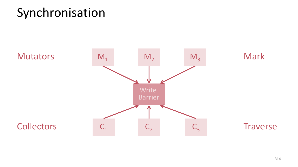#### Synchronisation

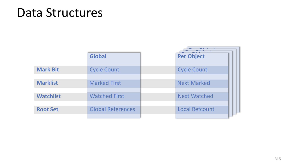#### Data Structures

|                  | <b>Global</b>            |  | <b>Per Object</b>     |  |
|------------------|--------------------------|--|-----------------------|--|
|                  |                          |  |                       |  |
| <b>Mark Bit</b>  | <b>Cycle Count</b>       |  | <b>Cycle Count</b>    |  |
|                  |                          |  |                       |  |
| <b>Marklist</b>  | <b>Marked First</b>      |  | <b>Next Marked</b>    |  |
|                  |                          |  |                       |  |
| <b>Watchlist</b> | <b>Watched First</b>     |  | <b>Next Watched</b>   |  |
|                  |                          |  |                       |  |
| <b>Root Set</b>  | <b>Global References</b> |  | <b>Local Refcount</b> |  |
|                  |                          |  |                       |  |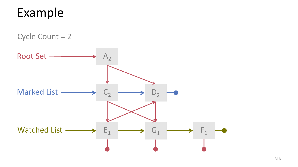#### Example

Cycle Count = 2